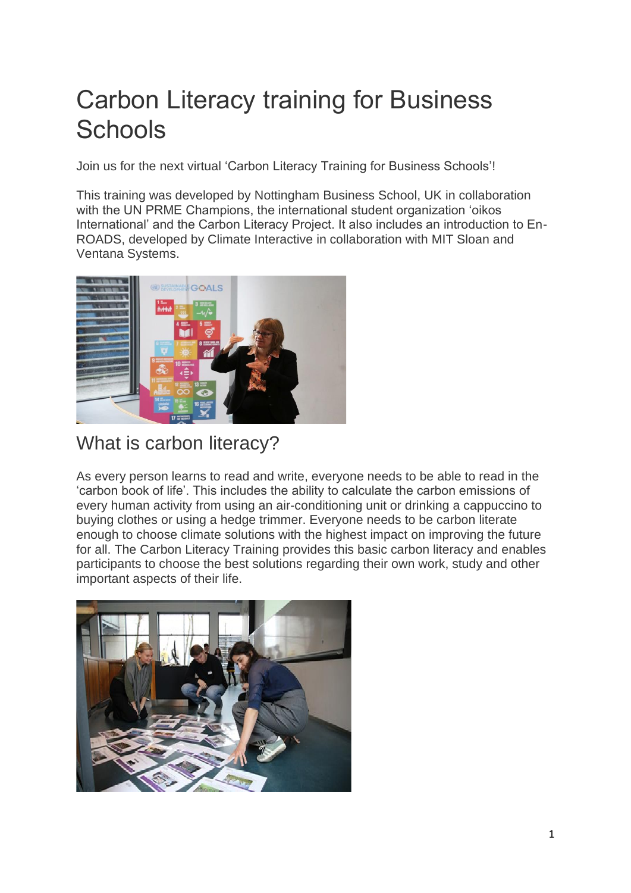# Carbon Literacy training for Business **Schools**

Join us for the next virtual 'Carbon Literacy Training for Business Schools'!

This training was developed by Nottingham Business School, UK in collaboration with the UN PRME Champions, the international student organization 'oikos International' and the Carbon Literacy Project. It also includes an introduction to En-ROADS, developed by Climate Interactive in collaboration with MIT Sloan and Ventana Systems.



## What is carbon literacy?

As every person learns to read and write, everyone needs to be able to read in the 'carbon book of life'. This includes the ability to calculate the carbon emissions of every human activity from using an air-conditioning unit or drinking a cappuccino to buying clothes or using a hedge trimmer. Everyone needs to be carbon literate enough to choose climate solutions with the highest impact on improving the future for all. The Carbon Literacy Training provides this basic carbon literacy and enables participants to choose the best solutions regarding their own work, study and other important aspects of their life.